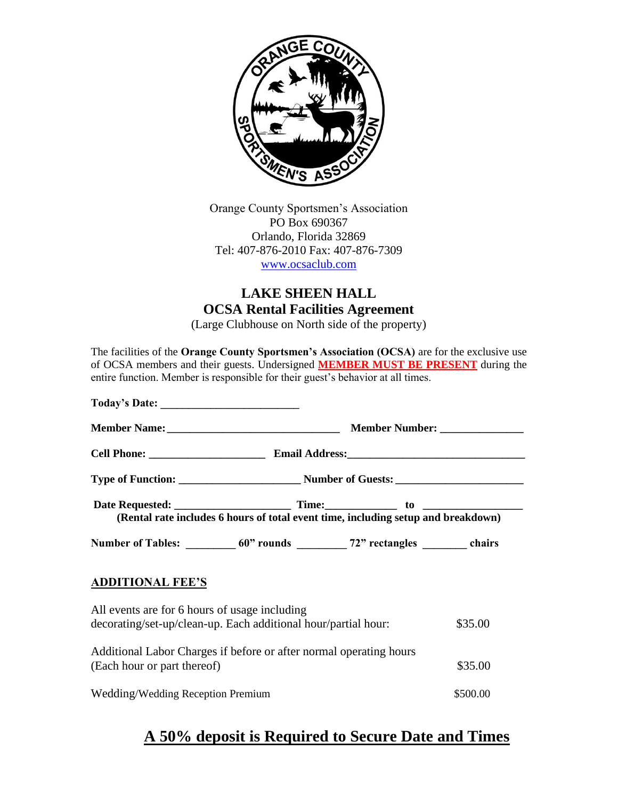

Orange County Sportsmen's Association PO Box 690367 Orlando, Florida 32869 Tel: 407-876-2010 Fax: 407-876-7309 [www.ocsaclub.com](http://www.ocsaclub.com/)

# **LAKE SHEEN HALL OCSA Rental Facilities Agreement**

(Large Clubhouse on North side of the property)

The facilities of the **Orange County Sportsmen's Association (OCSA)** are for the exclusive use of OCSA members and their guests. Undersigned **MEMBER MUST BE PRESENT** during the entire function. Member is responsible for their guest's behavior at all times. **Today's Date: \_\_\_\_\_\_\_\_\_\_\_\_\_\_\_\_\_\_\_\_\_\_\_\_\_ Member Name: \_\_\_\_\_\_\_\_\_\_\_\_\_\_\_\_\_\_\_\_\_\_\_\_\_\_\_\_\_\_\_ Member Number: \_\_\_\_\_\_\_\_\_\_\_\_\_\_\_ Cell Phone: \_\_\_\_\_\_\_\_\_\_\_\_\_\_\_\_\_\_\_\_\_ Email Address:\_\_\_\_\_\_\_\_\_\_\_\_\_\_\_\_\_\_\_\_\_\_\_\_\_\_\_\_\_\_\_\_ Type of Function: \_\_\_\_\_\_\_\_\_\_\_\_\_\_\_\_\_\_\_\_\_\_ Number of Guests: \_\_\_\_\_\_\_\_\_\_\_\_\_\_\_\_\_\_\_\_\_\_\_ Date Requested:** Time: to to a state Requested: **(Rental rate includes 6 hours of total event time, including setup and breakdown) Number of Tables: \_\_\_\_\_\_\_\_\_ 60" rounds \_\_\_\_\_\_\_\_\_ 72" rectangles \_\_\_\_\_\_\_\_ chairs ADDITIONAL FEE'S** All events are for 6 hours of usage including decorating/set-up/clean-up. Each additional hour/partial hour: \$35.00 Additional Labor Charges if before or after normal operating hours (Each hour or part thereof)  $$35.00$ Wedding/Wedding Reception Premium  $$500.00$ 

# **A 50% deposit is Required to Secure Date and Times**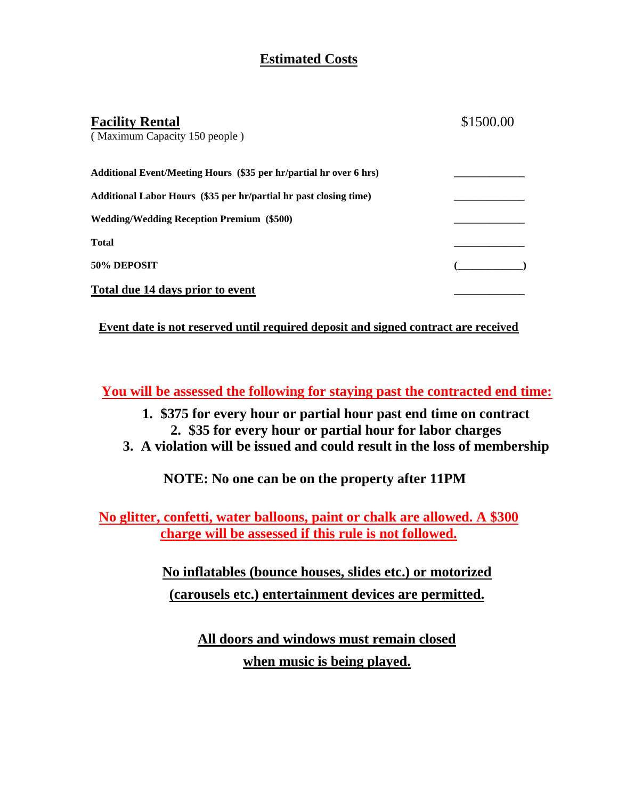# **Estimated Costs**

| <b>Facility Rental</b><br>(Maximum Capacity 150 people)            | \$1500.00 |
|--------------------------------------------------------------------|-----------|
| Additional Event/Meeting Hours (\$35 per hr/partial hr over 6 hrs) |           |
| Additional Labor Hours (\$35 per hr/partial hr past closing time)  |           |
| <b>Wedding/Wedding Reception Premium (\$500)</b>                   |           |
| <b>Total</b>                                                       |           |
| 50% DEPOSIT                                                        |           |
| Total due 14 days prior to event                                   |           |

**Event date is not reserved until required deposit and signed contract are received**

**You will be assessed the following for staying past the contracted end time:**

- **1. \$375 for every hour or partial hour past end time on contract 2. \$35 for every hour or partial hour for labor charges**
- **3. A violation will be issued and could result in the loss of membership**

**NOTE: No one can be on the property after 11PM**

**No glitter, confetti, water balloons, paint or chalk are allowed. A \$300 charge will be assessed if this rule is not followed.**

> **No inflatables (bounce houses, slides etc.) or motorized (carousels etc.) entertainment devices are permitted.**

> > **All doors and windows must remain closed when music is being played.**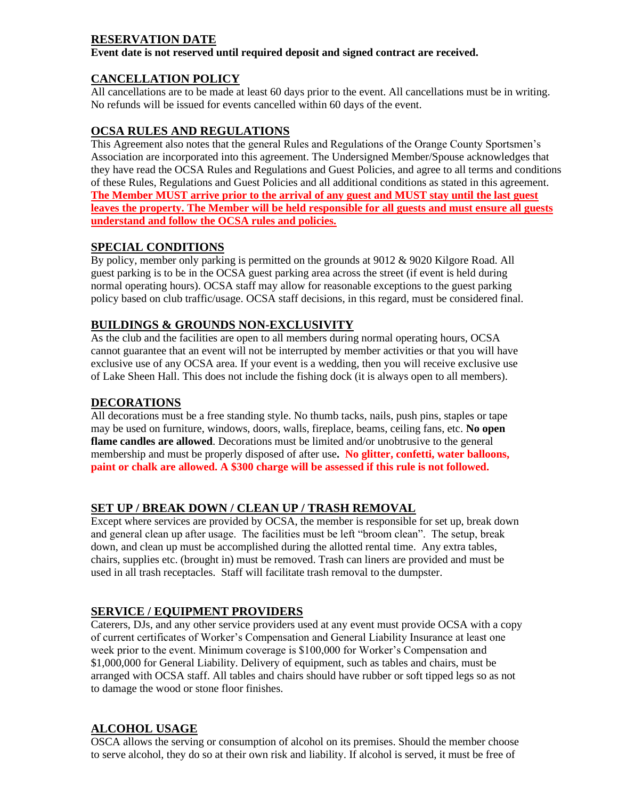#### **RESERVATION DATE**

**Event date is not reserved until required deposit and signed contract are received.** 

# **CANCELLATION POLICY**

All cancellations are to be made at least 60 days prior to the event. All cancellations must be in writing. No refunds will be issued for events cancelled within 60 days of the event.

## **OCSA RULES AND REGULATIONS**

This Agreement also notes that the general Rules and Regulations of the Orange County Sportsmen's Association are incorporated into this agreement. The Undersigned Member/Spouse acknowledges that they have read the OCSA Rules and Regulations and Guest Policies, and agree to all terms and conditions of these Rules, Regulations and Guest Policies and all additional conditions as stated in this agreement. **The Member MUST arrive prior to the arrival of any guest and MUST stay until the last guest leaves the property. The Member will be held responsible for all guests and must ensure all guests understand and follow the OCSA rules and policies.**

## **SPECIAL CONDITIONS**

By policy, member only parking is permitted on the grounds at 9012 & 9020 Kilgore Road. All guest parking is to be in the OCSA guest parking area across the street (if event is held during normal operating hours). OCSA staff may allow for reasonable exceptions to the guest parking policy based on club traffic/usage. OCSA staff decisions, in this regard, must be considered final.

# **BUILDINGS & GROUNDS NON-EXCLUSIVITY**

As the club and the facilities are open to all members during normal operating hours, OCSA cannot guarantee that an event will not be interrupted by member activities or that you will have exclusive use of any OCSA area. If your event is a wedding, then you will receive exclusive use of Lake Sheen Hall. This does not include the fishing dock (it is always open to all members).

#### **DECORATIONS**

All decorations must be a free standing style. No thumb tacks, nails, push pins, staples or tape may be used on furniture, windows, doors, walls, fireplace, beams, ceiling fans, etc. **No open flame candles are allowed**. Decorations must be limited and/or unobtrusive to the general membership and must be properly disposed of after use**. No glitter, confetti, water balloons, paint or chalk are allowed. A \$300 charge will be assessed if this rule is not followed.**

## **SET UP / BREAK DOWN / CLEAN UP / TRASH REMOVAL**

Except where services are provided by OCSA, the member is responsible for set up, break down and general clean up after usage. The facilities must be left "broom clean". The setup, break down, and clean up must be accomplished during the allotted rental time. Any extra tables, chairs, supplies etc. (brought in) must be removed. Trash can liners are provided and must be used in all trash receptacles. Staff will facilitate trash removal to the dumpster.

# **SERVICE / EQUIPMENT PROVIDERS**

Caterers, DJs, and any other service providers used at any event must provide OCSA with a copy of current certificates of Worker's Compensation and General Liability Insurance at least one week prior to the event. Minimum coverage is \$100,000 for Worker's Compensation and \$1,000,000 for General Liability. Delivery of equipment, such as tables and chairs, must be arranged with OCSA staff. All tables and chairs should have rubber or soft tipped legs so as not to damage the wood or stone floor finishes.

# **ALCOHOL USAGE**

OSCA allows the serving or consumption of alcohol on its premises. Should the member choose to serve alcohol, they do so at their own risk and liability. If alcohol is served, it must be free of